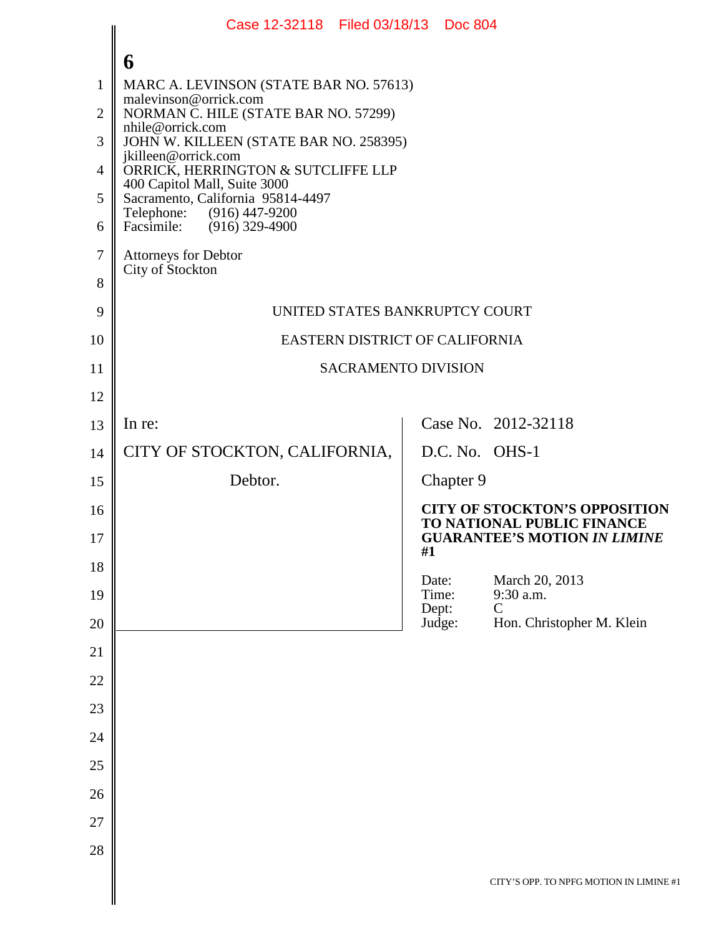|                | Case 12-32118 Filed 03/18/13 Doc 804                                                                                                                                                     |                |           |                                                                    |  |
|----------------|------------------------------------------------------------------------------------------------------------------------------------------------------------------------------------------|----------------|-----------|--------------------------------------------------------------------|--|
|                | 6                                                                                                                                                                                        |                |           |                                                                    |  |
| $\mathbf{1}$   | MARC A. LEVINSON (STATE BAR NO. 57613)                                                                                                                                                   |                |           |                                                                    |  |
| $\overline{2}$ | malevinson@orrick.com<br>NORMAN C. HILE (STATE BAR NO. 57299)                                                                                                                            |                |           |                                                                    |  |
| 3              | nhile@orrick.com<br>JOHN W. KILLEEN (STATE BAR NO. 258395)                                                                                                                               |                |           |                                                                    |  |
| $\overline{4}$ | jkilleen@orrick.com<br>ORRICK, HERRINGTON & SUTCLIFFE LLP<br>400 Capitol Mall, Suite 3000<br>Sacramento, California 95814-4497<br>Telephone: (916) 447-9200<br>Facsimile: (916) 329-4900 |                |           |                                                                    |  |
| 5              |                                                                                                                                                                                          |                |           |                                                                    |  |
| 6              |                                                                                                                                                                                          |                |           |                                                                    |  |
| $\tau$         | <b>Attorneys for Debtor</b>                                                                                                                                                              |                |           |                                                                    |  |
| 8              | City of Stockton                                                                                                                                                                         |                |           |                                                                    |  |
| 9              | UNITED STATES BANKRUPTCY COURT                                                                                                                                                           |                |           |                                                                    |  |
| 10             | EASTERN DISTRICT OF CALIFORNIA                                                                                                                                                           |                |           |                                                                    |  |
| 11             | <b>SACRAMENTO DIVISION</b>                                                                                                                                                               |                |           |                                                                    |  |
| 12             |                                                                                                                                                                                          |                |           |                                                                    |  |
| 13             | In re:                                                                                                                                                                                   |                |           | Case No. 2012-32118                                                |  |
| 14             | CITY OF STOCKTON, CALIFORNIA,                                                                                                                                                            |                |           | D.C. No. OHS-1                                                     |  |
| 15             | Debtor.                                                                                                                                                                                  |                | Chapter 9 |                                                                    |  |
| 16             |                                                                                                                                                                                          |                |           | <b>CITY OF STOCKTON'S OPPOSITION</b><br>TO NATIONAL PUBLIC FINANCE |  |
| 17             |                                                                                                                                                                                          | #1             |           | <b>GUARANTEE'S MOTION IN LIMINE</b>                                |  |
| 18             |                                                                                                                                                                                          | Date:          |           | March 20, 2013                                                     |  |
| 19             |                                                                                                                                                                                          | Time:<br>Dept: |           | 9:30 a.m.<br>$\mathcal{C}$                                         |  |
| $20\,$         |                                                                                                                                                                                          | Judge:         |           | Hon. Christopher M. Klein                                          |  |
| 21             |                                                                                                                                                                                          |                |           |                                                                    |  |
| $22\,$         |                                                                                                                                                                                          |                |           |                                                                    |  |
| 23             |                                                                                                                                                                                          |                |           |                                                                    |  |
| 24             |                                                                                                                                                                                          |                |           |                                                                    |  |
| $25\,$         |                                                                                                                                                                                          |                |           |                                                                    |  |
| $26\,$         |                                                                                                                                                                                          |                |           |                                                                    |  |
| 27             |                                                                                                                                                                                          |                |           |                                                                    |  |
| 28             |                                                                                                                                                                                          |                |           |                                                                    |  |
|                |                                                                                                                                                                                          |                |           | CITY'S OPP. TO NPFG MOTION IN LIMINE #1                            |  |
|                |                                                                                                                                                                                          |                |           |                                                                    |  |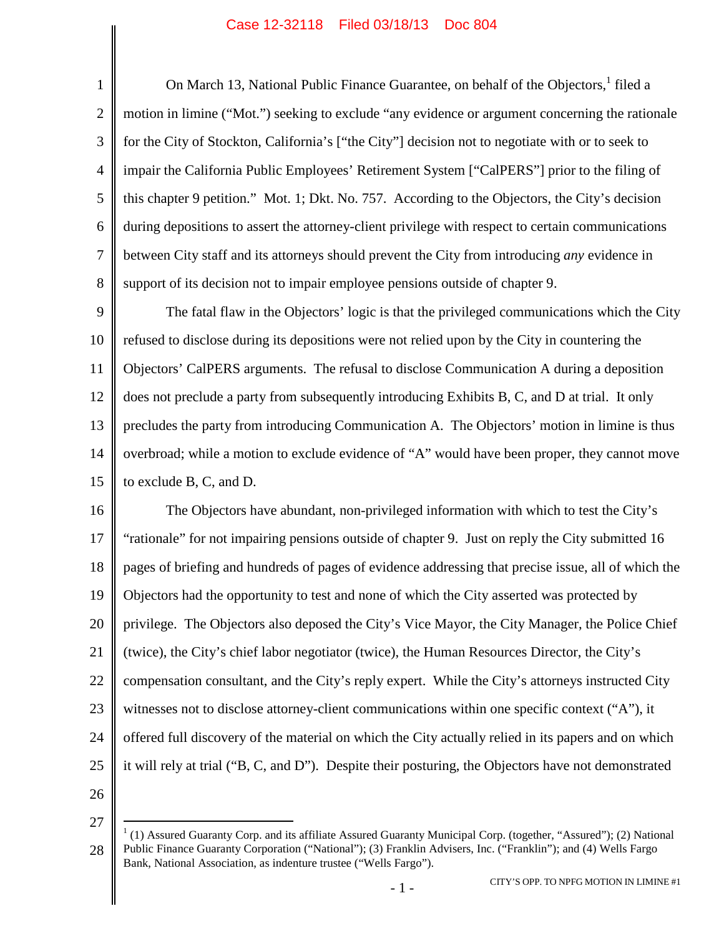#### Case 12-32118 Filed 03/18/13 Doc 804

1 2 3 4 5 6 7 8 On March [1](#page-1-0)3, National Public Finance Guarantee, on behalf of the Objectors, <sup>1</sup> filed a motion in limine ("Mot.") seeking to exclude "any evidence or argument concerning the rationale for the City of Stockton, California's ["the City"] decision not to negotiate with or to seek to impair the California Public Employees' Retirement System ["CalPERS"] prior to the filing of this chapter 9 petition." Mot. 1; Dkt. No. 757. According to the Objectors, the City's decision during depositions to assert the attorney-client privilege with respect to certain communications between City staff and its attorneys should prevent the City from introducing *any* evidence in support of its decision not to impair employee pensions outside of chapter 9.

9 10 11 12 13 14 15 The fatal flaw in the Objectors' logic is that the privileged communications which the City refused to disclose during its depositions were not relied upon by the City in countering the Objectors' CalPERS arguments. The refusal to disclose Communication A during a deposition does not preclude a party from subsequently introducing Exhibits B, C, and D at trial. It only precludes the party from introducing Communication A. The Objectors' motion in limine is thus overbroad; while a motion to exclude evidence of "A" would have been proper, they cannot move to exclude B, C, and D.

16 17 18 19 20 21 22 23 24 25 The Objectors have abundant, non-privileged information with which to test the City's "rationale" for not impairing pensions outside of chapter 9. Just on reply the City submitted 16 pages of briefing and hundreds of pages of evidence addressing that precise issue, all of which the Objectors had the opportunity to test and none of which the City asserted was protected by privilege. The Objectors also deposed the City's Vice Mayor, the City Manager, the Police Chief (twice), the City's chief labor negotiator (twice), the Human Resources Director, the City's compensation consultant, and the City's reply expert. While the City's attorneys instructed City witnesses not to disclose attorney-client communications within one specific context ("A"), it offered full discovery of the material on which the City actually relied in its papers and on which it will rely at trial ("B, C, and D"). Despite their posturing, the Objectors have not demonstrated

26

<span id="page-1-0"></span>27

<sup>28</sup>  $1(1)$  Assured Guaranty Corp. and its affiliate Assured Guaranty Municipal Corp. (together, "Assured"); (2) National Public Finance Guaranty Corporation ("National"); (3) Franklin Advisers, Inc. ("Franklin"); and (4) Wells Fargo Bank, National Association, as indenture trustee ("Wells Fargo").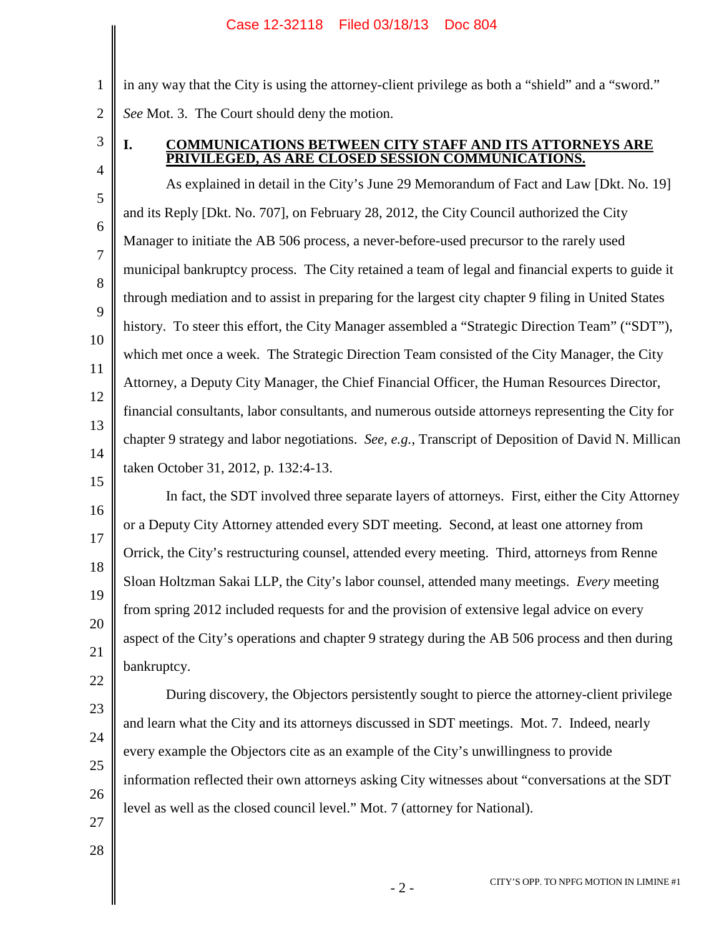in any way that the City is using the attorney-client privilege as both a "shield" and a "sword." *See* Mot. 3. The Court should deny the motion.

3 4

1

2

# **I. COMMUNICATIONS BETWEEN CITY STAFF AND ITS ATTORNEYS ARE PRIVILEGED, AS ARE CLOSED SESSION COMMUNICATIONS.**

5 6 7 8 9 10 11 12 13 14 15 As explained in detail in the City's June 29 Memorandum of Fact and Law [Dkt. No. 19] and its Reply [Dkt. No. 707], on February 28, 2012, the City Council authorized the City Manager to initiate the AB 506 process, a never-before-used precursor to the rarely used municipal bankruptcy process. The City retained a team of legal and financial experts to guide it through mediation and to assist in preparing for the largest city chapter 9 filing in United States history. To steer this effort, the City Manager assembled a "Strategic Direction Team" ("SDT"), which met once a week. The Strategic Direction Team consisted of the City Manager, the City Attorney, a Deputy City Manager, the Chief Financial Officer, the Human Resources Director, financial consultants, labor consultants, and numerous outside attorneys representing the City for chapter 9 strategy and labor negotiations. *See, e.g.*, Transcript of Deposition of David N. Millican taken October 31, 2012, p. 132:4-13.

16 17 18 19 20 21 In fact, the SDT involved three separate layers of attorneys. First, either the City Attorney or a Deputy City Attorney attended every SDT meeting. Second, at least one attorney from Orrick, the City's restructuring counsel, attended every meeting. Third, attorneys from Renne Sloan Holtzman Sakai LLP, the City's labor counsel, attended many meetings. *Every* meeting from spring 2012 included requests for and the provision of extensive legal advice on every aspect of the City's operations and chapter 9 strategy during the AB 506 process and then during bankruptcy.

26 During discovery, the Objectors persistently sought to pierce the attorney-client privilege and learn what the City and its attorneys discussed in SDT meetings. Mot. 7. Indeed, nearly every example the Objectors cite as an example of the City's unwillingness to provide information reflected their own attorneys asking City witnesses about "conversations at the SDT level as well as the closed council level." Mot. 7 (attorney for National).

27 28

22

23

24

25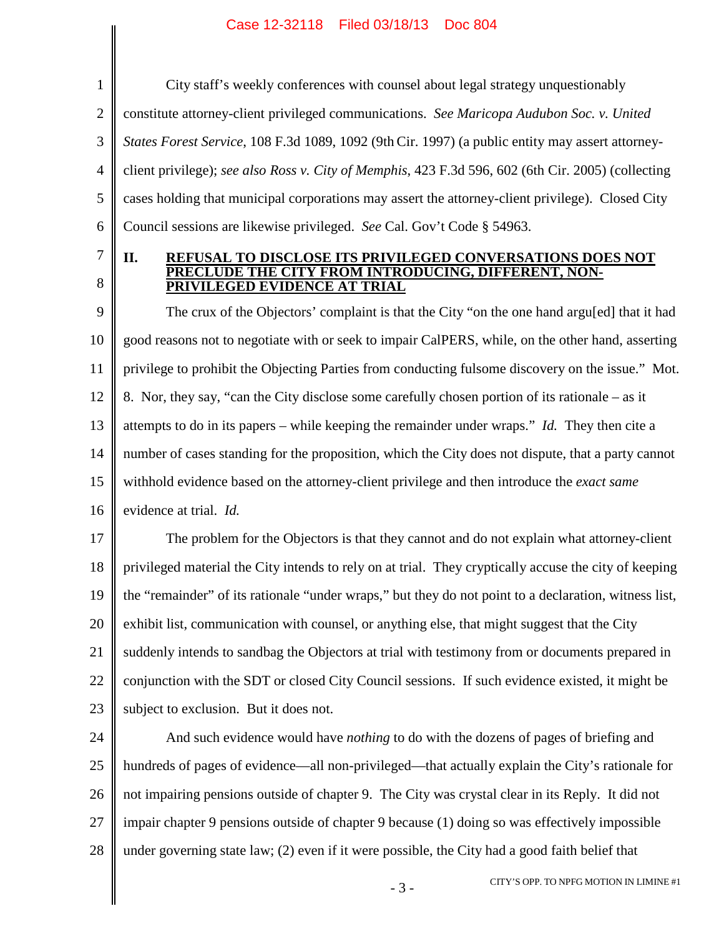### Case 12-32118 Filed 03/18/13 Doc 804

1 2 3 4 5 6 City staff's weekly conferences with counsel about legal strategy unquestionably constitute attorney-client privileged communications. *See Maricopa Audubon Soc. v. United States Forest Service*, 108 F.3d 1089, 1092 (9th Cir. 1997) (a public entity may assert attorneyclient privilege); *see also Ross v. City of Memphis*, 423 F.3d 596, 602 (6th Cir. 2005) (collecting cases holding that municipal corporations may assert the attorney-client privilege). Closed City Council sessions are likewise privileged. *See* Cal. Gov't Code § 54963.

7 8

#### **II. REFUSAL TO DISCLOSE ITS PRIVILEGED CONVERSATIONS DOES NOT PRECLUDE THE CITY FROM INTRODUCING, DIFFERENT, NON-PRIVILEGED EVIDENCE AT TRIAL**

9 10 11 12 13 14 15 16 The crux of the Objectors' complaint is that the City "on the one hand argu[ed] that it had good reasons not to negotiate with or seek to impair CalPERS, while, on the other hand, asserting privilege to prohibit the Objecting Parties from conducting fulsome discovery on the issue." Mot. 8. Nor, they say, "can the City disclose some carefully chosen portion of its rationale – as it attempts to do in its papers – while keeping the remainder under wraps." *Id.* They then cite a number of cases standing for the proposition, which the City does not dispute, that a party cannot withhold evidence based on the attorney-client privilege and then introduce the *exact same* evidence at trial. *Id.*

17 18 19 20 21 22 23 The problem for the Objectors is that they cannot and do not explain what attorney-client privileged material the City intends to rely on at trial. They cryptically accuse the city of keeping the "remainder" of its rationale "under wraps," but they do not point to a declaration, witness list, exhibit list, communication with counsel, or anything else, that might suggest that the City suddenly intends to sandbag the Objectors at trial with testimony from or documents prepared in conjunction with the SDT or closed City Council sessions. If such evidence existed, it might be subject to exclusion. But it does not.

24 25 26 27 28 And such evidence would have *nothing* to do with the dozens of pages of briefing and hundreds of pages of evidence—all non-privileged—that actually explain the City's rationale for not impairing pensions outside of chapter 9. The City was crystal clear in its Reply. It did not impair chapter 9 pensions outside of chapter 9 because (1) doing so was effectively impossible under governing state law; (2) even if it were possible, the City had a good faith belief that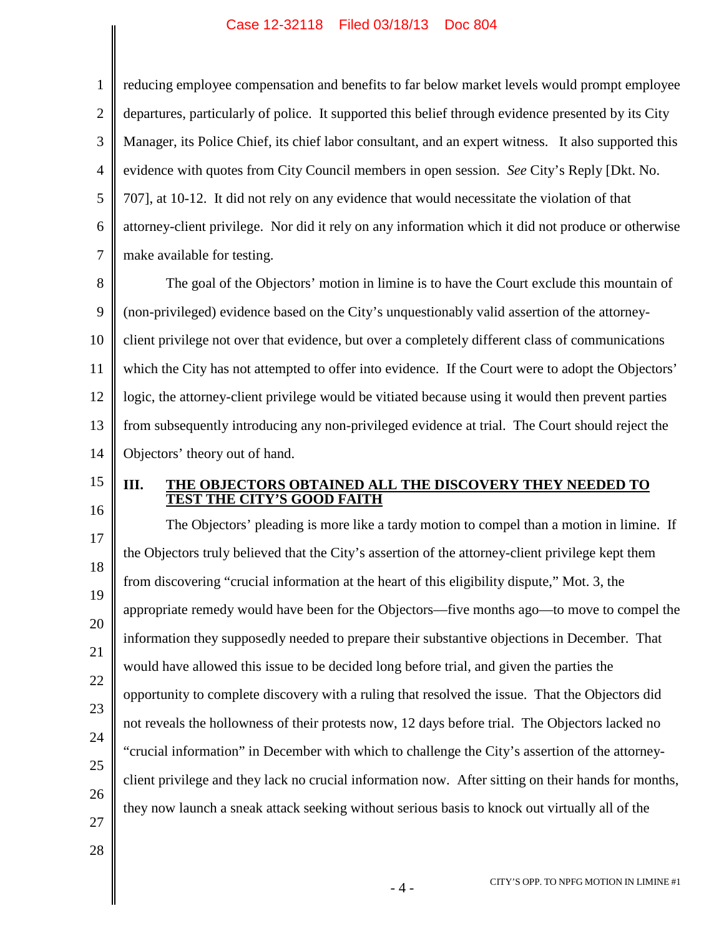#### Case 12-32118 Filed 03/18/13 Doc 804

1 2 3 4 5 6 7 reducing employee compensation and benefits to far below market levels would prompt employee departures, particularly of police. It supported this belief through evidence presented by its City Manager, its Police Chief, its chief labor consultant, and an expert witness. It also supported this evidence with quotes from City Council members in open session. *See* City's Reply [Dkt. No. 707], at 10-12. It did not rely on any evidence that would necessitate the violation of that attorney-client privilege. Nor did it rely on any information which it did not produce or otherwise make available for testing.

8 9 10 11 12 13 14 The goal of the Objectors' motion in limine is to have the Court exclude this mountain of (non-privileged) evidence based on the City's unquestionably valid assertion of the attorneyclient privilege not over that evidence, but over a completely different class of communications which the City has not attempted to offer into evidence. If the Court were to adopt the Objectors' logic, the attorney-client privilege would be vitiated because using it would then prevent parties from subsequently introducing any non-privileged evidence at trial. The Court should reject the Objectors' theory out of hand.

15 16

## **III. THE OBJECTORS OBTAINED ALL THE DISCOVERY THEY NEEDED TO TEST THE CITY'S GOOD FAITH**

17 18 19 20 21 22 23 24 25 26 27 The Objectors' pleading is more like a tardy motion to compel than a motion in limine. If the Objectors truly believed that the City's assertion of the attorney-client privilege kept them from discovering "crucial information at the heart of this eligibility dispute," Mot. 3, the appropriate remedy would have been for the Objectors—five months ago—to move to compel the information they supposedly needed to prepare their substantive objections in December. That would have allowed this issue to be decided long before trial, and given the parties the opportunity to complete discovery with a ruling that resolved the issue. That the Objectors did not reveals the hollowness of their protests now, 12 days before trial. The Objectors lacked no "crucial information" in December with which to challenge the City's assertion of the attorneyclient privilege and they lack no crucial information now. After sitting on their hands for months, they now launch a sneak attack seeking without serious basis to knock out virtually all of the

28